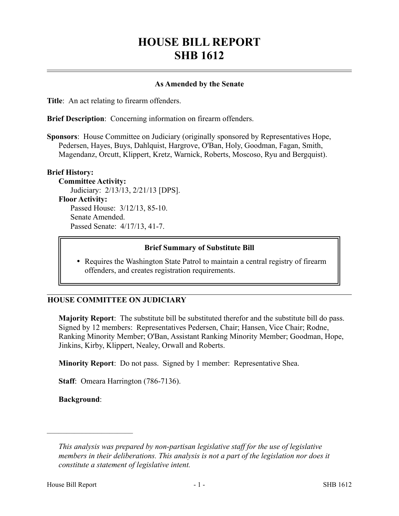# **HOUSE BILL REPORT SHB 1612**

#### **As Amended by the Senate**

**Title**: An act relating to firearm offenders.

**Brief Description**: Concerning information on firearm offenders.

**Sponsors**: House Committee on Judiciary (originally sponsored by Representatives Hope, Pedersen, Hayes, Buys, Dahlquist, Hargrove, O'Ban, Holy, Goodman, Fagan, Smith, Magendanz, Orcutt, Klippert, Kretz, Warnick, Roberts, Moscoso, Ryu and Bergquist).

#### **Brief History:**

**Committee Activity:** Judiciary: 2/13/13, 2/21/13 [DPS]. **Floor Activity:** Passed House: 3/12/13, 85-10. Senate Amended. Passed Senate: 4/17/13, 41-7.

#### **Brief Summary of Substitute Bill**

• Requires the Washington State Patrol to maintain a central registry of firearm offenders, and creates registration requirements.

#### **HOUSE COMMITTEE ON JUDICIARY**

**Majority Report**: The substitute bill be substituted therefor and the substitute bill do pass. Signed by 12 members: Representatives Pedersen, Chair; Hansen, Vice Chair; Rodne, Ranking Minority Member; O'Ban, Assistant Ranking Minority Member; Goodman, Hope, Jinkins, Kirby, Klippert, Nealey, Orwall and Roberts.

**Minority Report**: Do not pass. Signed by 1 member: Representative Shea.

**Staff**: Omeara Harrington (786-7136).

**Background**:

––––––––––––––––––––––

*This analysis was prepared by non-partisan legislative staff for the use of legislative members in their deliberations. This analysis is not a part of the legislation nor does it constitute a statement of legislative intent.*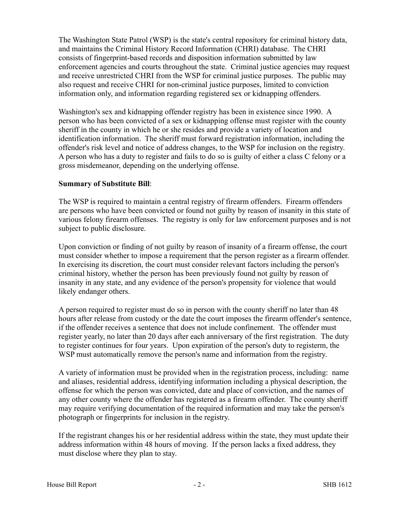The Washington State Patrol (WSP) is the state's central repository for criminal history data, and maintains the Criminal History Record Information (CHRI) database. The CHRI consists of fingerprint-based records and disposition information submitted by law enforcement agencies and courts throughout the state. Criminal justice agencies may request and receive unrestricted CHRI from the WSP for criminal justice purposes. The public may also request and receive CHRI for non-criminal justice purposes, limited to conviction information only, and information regarding registered sex or kidnapping offenders.

Washington's sex and kidnapping offender registry has been in existence since 1990. A person who has been convicted of a sex or kidnapping offense must register with the county sheriff in the county in which he or she resides and provide a variety of location and identification information. The sheriff must forward registration information, including the offender's risk level and notice of address changes, to the WSP for inclusion on the registry. A person who has a duty to register and fails to do so is guilty of either a class C felony or a gross misdemeanor, depending on the underlying offense.

### **Summary of Substitute Bill**:

The WSP is required to maintain a central registry of firearm offenders. Firearm offenders are persons who have been convicted or found not guilty by reason of insanity in this state of various felony firearm offenses. The registry is only for law enforcement purposes and is not subject to public disclosure.

Upon conviction or finding of not guilty by reason of insanity of a firearm offense, the court must consider whether to impose a requirement that the person register as a firearm offender. In exercising its discretion, the court must consider relevant factors including the person's criminal history, whether the person has been previously found not guilty by reason of insanity in any state, and any evidence of the person's propensity for violence that would likely endanger others.

A person required to register must do so in person with the county sheriff no later than 48 hours after release from custody or the date the court imposes the firearm offender's sentence, if the offender receives a sentence that does not include confinement. The offender must register yearly, no later than 20 days after each anniversary of the first registration. The duty to register continues for four years. Upon expiration of the person's duty to registerm, the WSP must automatically remove the person's name and information from the registry.

A variety of information must be provided when in the registration process, including: name and aliases, residential address, identifying information including a physical description, the offense for which the person was convicted, date and place of conviction, and the names of any other county where the offender has registered as a firearm offender. The county sheriff may require verifying documentation of the required information and may take the person's photograph or fingerprints for inclusion in the registry.

If the registrant changes his or her residential address within the state, they must update their address information within 48 hours of moving. If the person lacks a fixed address, they must disclose where they plan to stay.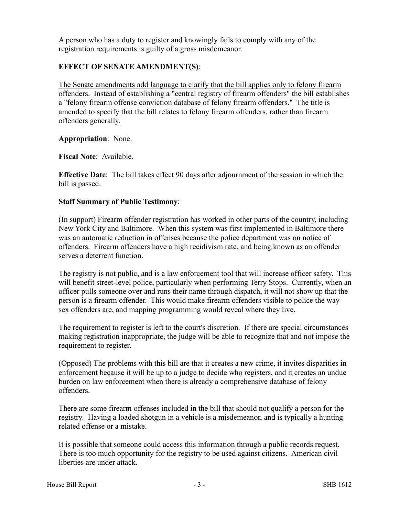A person who has a duty to register and knowingly fails to comply with any of the registration requirements is guilty of a gross misdemeanor.

## **EFFECT OF SENATE AMENDMENT(S)**:

The Senate amendments add language to clarify that the bill applies only to felony firearm offenders. Instead of establishing a "central registry of firearm offenders" the bill establishes a "felony firearm offense conviction database of felony firearm offenders." The title is amended to specify that the bill relates to felony firearm offenders, rather than firearm offenders generally.

**Appropriation**: None.

**Fiscal Note**: Available.

**Effective Date**: The bill takes effect 90 days after adjournment of the session in which the bill is passed.

## **Staff Summary of Public Testimony**:

(In support) Firearm offender registration has worked in other parts of the country, including New York City and Baltimore. When this system was first implemented in Baltimore there was an automatic reduction in offenses because the police department was on notice of offenders. Firearm offenders have a high recidivism rate, and being known as an offender serves a deterrent function.

The registry is not public, and is a law enforcement tool that will increase officer safety. This will benefit street-level police, particularly when performing Terry Stops. Currently, when an officer pulls someone over and runs their name through dispatch, it will not show up that the person is a firearm offender. This would make firearm offenders visible to police the way sex offenders are, and mapping programming would reveal where they live.

The requirement to register is left to the court's discretion. If there are special circumstances making registration inappropriate, the judge will be able to recognize that and not impose the requirement to register.

(Opposed) The problems with this bill are that it creates a new crime, it invites disparities in enforcement because it will be up to a judge to decide who registers, and it creates an undue burden on law enforcement when there is already a comprehensive database of felony offenders.

There are some firearm offenses included in the bill that should not qualify a person for the registry. Having a loaded shotgun in a vehicle is a misdemeanor, and is typically a hunting related offense or a mistake.

It is possible that someone could access this information through a public records request. There is too much opportunity for the registry to be used against citizens. American civil liberties are under attack.